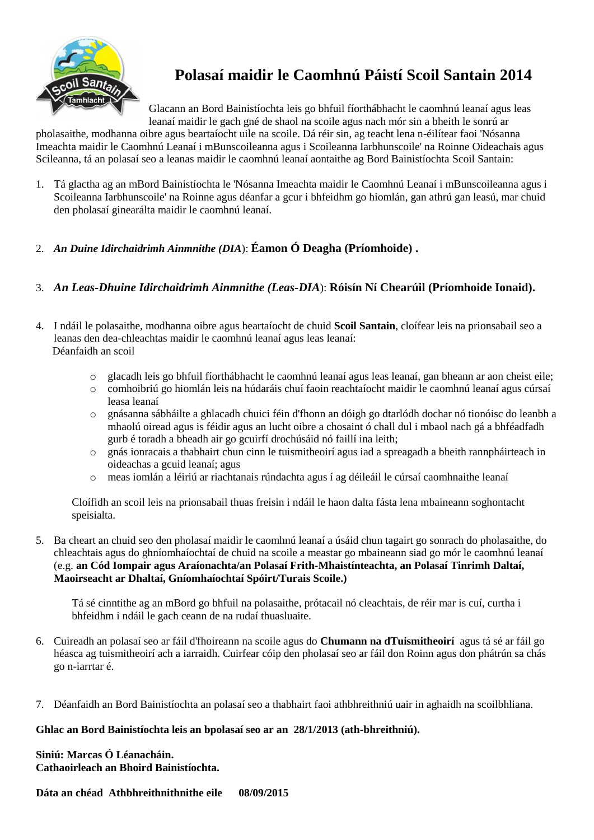

## **Polasaí maidir le Caomhnú Páistí Scoil Santain 2014**

Glacann an Bord Bainistíochta leis go bhfuil fíorthábhacht le caomhnú leanaí agus leas leanaí maidir le gach gné de shaol na scoile agus nach mór sin a bheith le sonrú ar

pholasaithe, modhanna oibre agus beartaíocht uile na scoile. Dá réir sin, ag teacht lena n-éilítear faoi 'Nósanna Imeachta maidir le Caomhnú Leanaí i mBunscoileanna agus i Scoileanna Iarbhunscoile' na Roinne Oideachais agus Scileanna, tá an polasaí seo a leanas maidir le caomhnú leanaí aontaithe ag Bord Bainistíochta Scoil Santain:

- 1. Tá glactha ag an mBord Bainistíochta le 'Nósanna Imeachta maidir le Caomhnú Leanaí i mBunscoileanna agus i Scoileanna Iarbhunscoile' na Roinne agus déanfar a gcur i bhfeidhm go hiomlán, gan athrú gan leasú, mar chuid den pholasaí ginearálta maidir le caomhnú leanaí.
- 2. *An Duine Idirchaidrimh Ainmnithe (DIA*): **Éamon Ó Deagha (Príomhoide) .**
- 3. *An Leas-Dhuine Idirchaidrimh Ainmnithe (Leas-DIA*): **Róisín Ní Chearúil (Príomhoide Ionaid).**
- 4. I ndáil le polasaithe, modhanna oibre agus beartaíocht de chuid **Scoil Santain**, cloífear leis na prionsabail seo a leanas den dea-chleachtas maidir le caomhnú leanaí agus leas leanaí: Déanfaidh an scoil
	- o glacadh leis go bhfuil fíorthábhacht le caomhnú leanaí agus leas leanaí, gan bheann ar aon cheist eile;
	- o comhoibriú go hiomlán leis na húdaráis chuí faoin reachtaíocht maidir le caomhnú leanaí agus cúrsaí leasa leanaí
	- o gnásanna sábháilte a ghlacadh chuici féin d'fhonn an dóigh go dtarlódh dochar nó tionóisc do leanbh a mhaolú oiread agus is féidir agus an lucht oibre a chosaint ó chall dul i mbaol nach gá a bhféadfadh gurb é toradh a bheadh air go gcuirfí drochúsáid nó faillí ina leith;
	- o gnás ionracais a thabhairt chun cinn le tuismitheoirí agus iad a spreagadh a bheith rannpháirteach in oideachas a gcuid leanaí; agus
	- o meas iomlán a léiriú ar riachtanais rúndachta agus í ag déileáil le cúrsaí caomhnaithe leanaí

Cloífidh an scoil leis na prionsabail thuas freisin i ndáil le haon dalta fásta lena mbaineann soghontacht speisialta.

5. Ba cheart an chuid seo den pholasaí maidir le caomhnú leanaí a úsáid chun tagairt go sonrach do pholasaithe, do chleachtais agus do ghníomhaíochtaí de chuid na scoile a meastar go mbaineann siad go mór le caomhnú leanaí (e.g. **an Cód Iompair agus Araíonachta/an Polasaí Frith-Mhaistínteachta, an Polasaí Tinrimh Daltaí, Maoirseacht ar Dhaltaí, Gníomhaíochtaí Spóirt/Turais Scoile.)** 

Tá sé cinntithe ag an mBord go bhfuil na polasaithe, prótacail nó cleachtais, de réir mar is cuí, curtha i bhfeidhm i ndáil le gach ceann de na rudaí thuasluaite.

- 6. Cuireadh an polasaí seo ar fáil d'fhoireann na scoile agus do **Chumann na dTuismitheoirí** agus tá sé ar fáil go héasca ag tuismitheoirí ach a iarraidh. Cuirfear cóip den pholasaí seo ar fáil don Roinn agus don phátrún sa chás go n-iarrtar é.
- 7. Déanfaidh an Bord Bainistíochta an polasaí seo a thabhairt faoi athbhreithniú uair in aghaidh na scoilbhliana.

## **Ghlac an Bord Bainistíochta leis an bpolasaí seo ar an 28/1/2013 (ath-bhreithniú).**

**Siniú: Marcas Ó Léanacháin. Cathaoirleach an Bhoird Bainistíochta.**

**Dáta an chéad Athbhreithnithnithe eile 08/09/2015**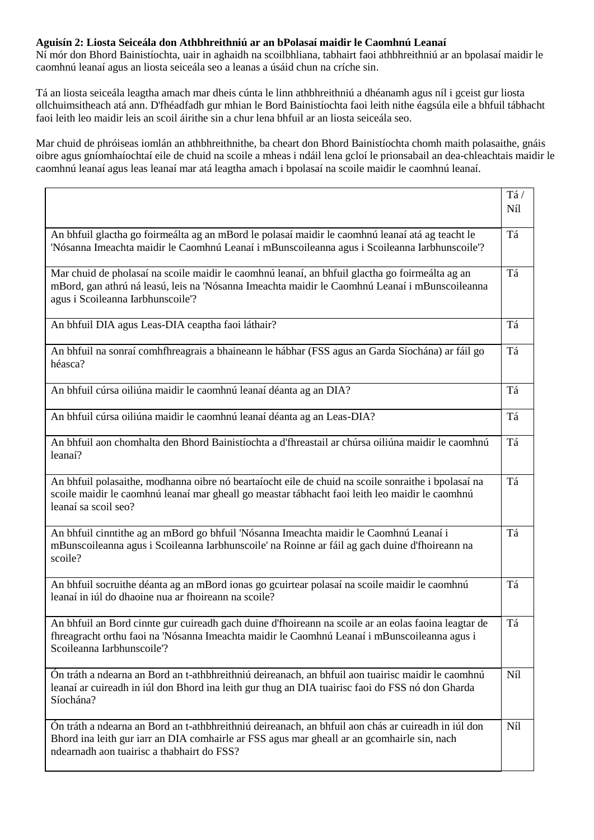#### **Aguisín 2: Liosta Seiceála don Athbhreithniú ar an bPolasaí maidir le Caomhnú Leanaí**

Ní mór don Bhord Bainistíochta, uair in aghaidh na scoilbhliana, tabhairt faoi athbhreithniú ar an bpolasaí maidir le caomhnú leanaí agus an liosta seiceála seo a leanas a úsáid chun na críche sin.

Tá an liosta seiceála leagtha amach mar dheis cúnta le linn athbhreithniú a dhéanamh agus níl i gceist gur liosta ollchuimsitheach atá ann. D'fhéadfadh gur mhian le Bord Bainistíochta faoi leith nithe éagsúla eile a bhfuil tábhacht faoi leith leo maidir leis an scoil áirithe sin a chur lena bhfuil ar an liosta seiceála seo.

Mar chuid de phróiseas iomlán an athbhreithnithe, ba cheart don Bhord Bainistíochta chomh maith polasaithe, gnáis oibre agus gníomhaíochtaí eile de chuid na scoile a mheas i ndáil lena gcloí le prionsabail an dea-chleachtais maidir le caomhnú leanaí agus leas leanaí mar atá leagtha amach i bpolasaí na scoile maidir le caomhnú leanaí.

|                                                                                                                                                                                                                                                  | Tá/<br>Níl |
|--------------------------------------------------------------------------------------------------------------------------------------------------------------------------------------------------------------------------------------------------|------------|
| An bhfuil glactha go foirmeálta ag an mBord le polasaí maidir le caomhnú leanaí atá ag teacht le<br>'Nósanna Imeachta maidir le Caomhnú Leanaí i mBunscoileanna agus i Scoileanna Iarbhunscoile'?                                                | Tá         |
| Mar chuid de pholasaí na scoile maidir le caomhnú leanaí, an bhfuil glactha go foirmeálta ag an<br>mBord, gan athrú ná leasú, leis na 'Nósanna Imeachta maidir le Caomhnú Leanaí i mBunscoileanna<br>agus i Scoileanna Iarbhunscoile'?           | Tá         |
| An bhfuil DIA agus Leas-DIA ceaptha faoi láthair?                                                                                                                                                                                                | Tá         |
| An bhfuil na sonraí comhfhreagrais a bhaineann le hábhar (FSS agus an Garda Síochána) ar fáil go<br>héasca?                                                                                                                                      | Tá         |
| An bhfuil cúrsa oiliúna maidir le caomhnú leanaí déanta ag an DIA?                                                                                                                                                                               | Tá         |
| An bhfuil cúrsa oiliúna maidir le caomhnú leanaí déanta ag an Leas-DIA?                                                                                                                                                                          | Tá         |
| An bhfuil aon chomhalta den Bhord Bainistíochta a d'fhreastail ar chúrsa oiliúna maidir le caomhnú<br>leanaí?                                                                                                                                    | Tá         |
| An bhfuil polasaithe, modhanna oibre nó beartaíocht eile de chuid na scoile sonraithe i bpolasaí na<br>scoile maidir le caomhnú leanaí mar gheall go meastar tábhacht faoi leith leo maidir le caomhnú<br>leanaí sa scoil seo?                   | Tá         |
| An bhfuil cinntithe ag an mBord go bhfuil 'Nósanna Imeachta maidir le Caomhnú Leanaí i<br>mBunscoileanna agus i Scoileanna Iarbhunscoile' na Roinne ar fáil ag gach duine d'fhoireann na<br>scoile?                                              | Tá         |
| An bhfuil socruithe déanta ag an mBord ionas go gcuirtear polasaí na scoile maidir le caomhnú<br>leanaí in iúl do dhaoine nua ar fhoireann na scoile?                                                                                            | Tá         |
| An bhfuil an Bord cinnte gur cuireadh gach duine d'fhoireann na scoile ar an eolas faoina leagtar de<br>fhreagracht orthu faoi na 'Nósanna Imeachta maidir le Caomhnú Leanaí i mBunscoileanna agus i<br>Scoileanna Iarbhunscoile'?               | Tá         |
| Ón tráth a ndearna an Bord an t-athbhreithniú deireanach, an bhfuil aon tuairisc maidir le caomhnú<br>leanaí ar cuireadh in iúl don Bhord ina leith gur thug an DIA tuairisc faoi do FSS nó don Gharda<br>Síochána?                              | Níl        |
| Ón tráth a ndearna an Bord an t-athbhreithniú deireanach, an bhfuil aon chás ar cuireadh in iúl don<br>Bhord ina leith gur iarr an DIA comhairle ar FSS agus mar gheall ar an gcomhairle sin, nach<br>ndearnadh aon tuairisc a thabhairt do FSS? | Níl        |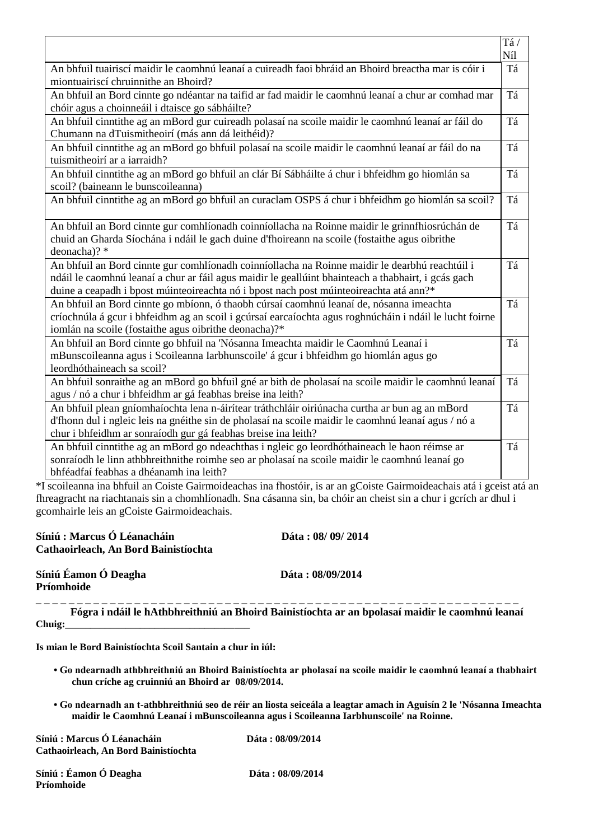|                                                                                                                                                                                                                                                                                                 | Tá/<br>Níl |
|-------------------------------------------------------------------------------------------------------------------------------------------------------------------------------------------------------------------------------------------------------------------------------------------------|------------|
| An bhfuil tuairiscí maidir le caomhnú leanaí a cuireadh faoi bhráid an Bhoird breactha mar is cóir i<br>miontuairiscí chruinnithe an Bhoird?                                                                                                                                                    | Tá         |
| An bhfuil an Bord cinnte go ndéantar na taifid ar fad maidir le caomhnú leanaí a chur ar comhad mar<br>chóir agus a choinneáil i dtaisce go sábháilte?                                                                                                                                          | Tá         |
| An bhfuil cinntithe ag an mBord gur cuireadh polasaí na scoile maidir le caomhnú leanaí ar fáil do<br>Chumann na dTuismitheoirí (más ann dá leithéid)?                                                                                                                                          | Tá         |
| An bhfuil cinntithe ag an mBord go bhfuil polasaí na scoile maidir le caomhnú leanaí ar fáil do na<br>tuismitheoirí ar a iarraidh?                                                                                                                                                              | Tá         |
| An bhfuil cinntithe ag an mBord go bhfuil an clár Bí Sábháilte á chur i bhfeidhm go hiomlán sa<br>scoil? (baineann le bunscoileanna)                                                                                                                                                            | Tá         |
| An bhfuil cinntithe ag an mBord go bhfuil an curaclam OSPS á chur i bhfeidhm go hiomlán sa scoil?                                                                                                                                                                                               | Tá         |
| An bhfuil an Bord cinnte gur comhlíonadh coinníollacha na Roinne maidir le grinnfhiosrúchán de<br>chuid an Gharda Síochána i ndáil le gach duine d'fhoireann na scoile (fostaithe agus oibrithe<br>deonacha)? *                                                                                 | Tá         |
| An bhfuil an Bord cinnte gur comhlíonadh coinníollacha na Roinne maidir le dearbhú reachtúil i<br>ndáil le caomhnú leanaí a chur ar fáil agus maidir le geallúint bhainteach a thabhairt, i gcás gach<br>duine a ceapadh i bpost múinteoireachta nó i bpost nach post múinteoireachta atá ann?* | Tá         |
| An bhfuil an Bord cinnte go mbíonn, ó thaobh cúrsaí caomhnú leanaí de, nósanna imeachta<br>críochnúla á gcur i bhfeidhm ag an scoil i gcúrsaí earcaíochta agus roghnúcháin i ndáil le lucht foirne<br>iomlán na scoile (fostaithe agus oibrithe deonacha)?*                                     | Tá         |
| An bhfuil an Bord cinnte go bhfuil na 'Nósanna Imeachta maidir le Caomhnú Leanaí i<br>mBunscoileanna agus i Scoileanna Iarbhunscoile' á gcur i bhfeidhm go hiomlán agus go<br>leordhóthaineach sa scoil?                                                                                        | Tá         |
| An bhfuil sonraithe ag an mBord go bhfuil gné ar bith de pholasaí na scoile maidir le caomhnú leanaí<br>agus / nó a chur i bhfeidhm ar gá feabhas breise ina leith?                                                                                                                             | Tá         |
| An bhfuil plean gníomhaíochta lena n-áirítear tráthchláir oiriúnacha curtha ar bun ag an mBord<br>d'fhonn dul i ngleic leis na gnéithe sin de pholasaí na scoile maidir le caomhnú leanaí agus / nó a<br>chur i bhfeidhm ar sonraíodh gur gá feabhas breise ina leith?                          | Tá         |
| An bhfuil cinntithe ag an mBord go ndeachthas i ngleic go leordhóthaineach le haon réimse ar<br>sonraíodh le linn athbhreithnithe roimhe seo ar pholasaí na scoile maidir le caomhnú leanaí go<br>bhféadfaí feabhas a dhéanamh ina leith?                                                       | Tá         |

\*I scoileanna ina bhfuil an Coiste Gairmoideachas ina fhostóir, is ar an gCoiste Gairmoideachais atá i gceist atá an fhreagracht na riachtanais sin a chomhlíonadh. Sna cásanna sin, ba chóir an cheist sin a chur i gcrích ar dhul i gcomhairle leis an gCoiste Gairmoideachais.

| Síniú : Marcus Ó Léanacháin<br>Cathaoirleach, An Bord Bainistíochta | Dáta: 08/ 09/ 2014                                                                             |
|---------------------------------------------------------------------|------------------------------------------------------------------------------------------------|
| Síniú Éamon Ó Deagha<br>Príomhoide                                  | Dáta: 08/09/2014                                                                               |
|                                                                     | Fógra i ndáil le hAthbhreithniú an Bhoird Bainistíochta ar an bpolasaí maidir le caomhnú leana |

**Fógra i ndáil le hAthbhreithniú an Bhoird Bainistíochta ar an bpolasaí maidir le caomhnú leanaí**  Chuig:

**Is mian le Bord Bainistíochta Scoil Santain a chur in iúl:** 

- **Go ndearnadh athbhreithniú an Bhoird Bainistíochta ar pholasaí na scoile maidir le caomhnú leanaí a thabhairt chun críche ag cruinniú an Bhoird ar 08/09/2014.**
- **Go ndearnadh an t-athbhreithniú seo de réir an liosta seiceála a leagtar amach in Aguisín 2 le 'Nósanna Imeachta maidir le Caomhnú Leanaí i mBunscoileanna agus i Scoileanna Iarbhunscoile' na Roinne.**

**Síniú : Marcus Ó Léanacháin Dáta : 08/09/2014 Cathaoirleach, An Bord Bainistíochta** 

**Síniú : Éamon Ó Deagha Dáta : 08/09/2014 Príomhoide**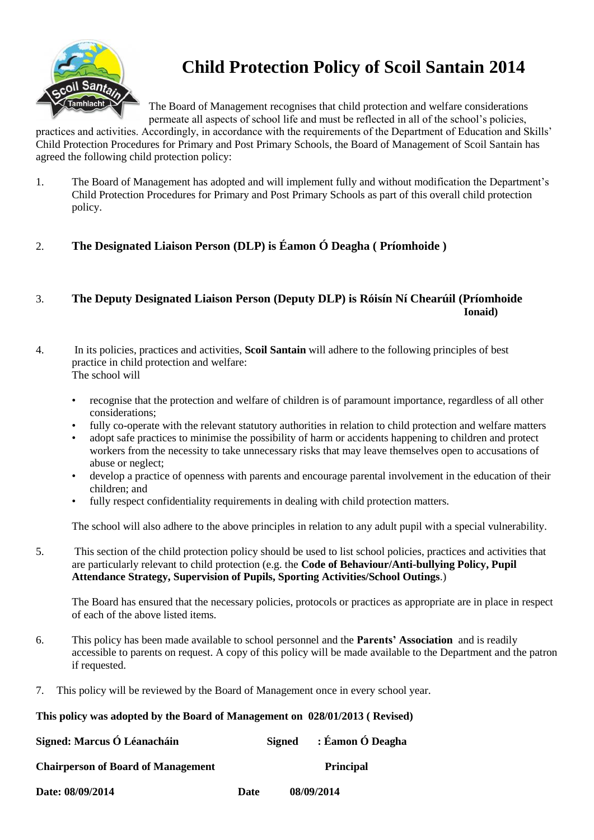

# **Child Protection Policy of Scoil Santain 2014**

The Board of Management recognises that child protection and welfare considerations permeate all aspects of school life and must be reflected in all of the school's policies,

practices and activities. Accordingly, in accordance with the requirements of the Department of Education and Skills' Child Protection Procedures for Primary and Post Primary Schools, the Board of Management of Scoil Santain has agreed the following child protection policy:

- 1. The Board of Management has adopted and will implement fully and without modification the Department's Child Protection Procedures for Primary and Post Primary Schools as part of this overall child protection policy.
- 2. **The Designated Liaison Person (DLP) is Éamon Ó Deagha ( Príomhoide )**

## 3. **The Deputy Designated Liaison Person (Deputy DLP) is Róisín Ní Chearúil (Príomhoide Ionaid)**

- 4. In its policies, practices and activities, **Scoil Santain** will adhere to the following principles of best practice in child protection and welfare: The school will
	- recognise that the protection and welfare of children is of paramount importance, regardless of all other considerations;
	- fully co-operate with the relevant statutory authorities in relation to child protection and welfare matters
	- adopt safe practices to minimise the possibility of harm or accidents happening to children and protect workers from the necessity to take unnecessary risks that may leave themselves open to accusations of abuse or neglect;
	- develop a practice of openness with parents and encourage parental involvement in the education of their children; and
	- fully respect confidentiality requirements in dealing with child protection matters.

The school will also adhere to the above principles in relation to any adult pupil with a special vulnerability.

5. This section of the child protection policy should be used to list school policies, practices and activities that are particularly relevant to child protection (e.g. the **Code of Behaviour/Anti-bullying Policy, Pupil Attendance Strategy, Supervision of Pupils, Sporting Activities/School Outings**.)

The Board has ensured that the necessary policies, protocols or practices as appropriate are in place in respect of each of the above listed items.

- 6. This policy has been made available to school personnel and the **Parents' Association** and is readily accessible to parents on request. A copy of this policy will be made available to the Department and the patron if requested.
- 7. This policy will be reviewed by the Board of Management once in every school year.

## **This policy was adopted by the Board of Management on 028/01/2013 ( Revised)**

| Signed: Marcus Ó Léanacháin               |      | Signed | : Éamon Ó Deagha |
|-------------------------------------------|------|--------|------------------|
| <b>Chairperson of Board of Management</b> |      |        | <b>Principal</b> |
| Date: 08/09/2014                          | Date |        | 08/09/2014       |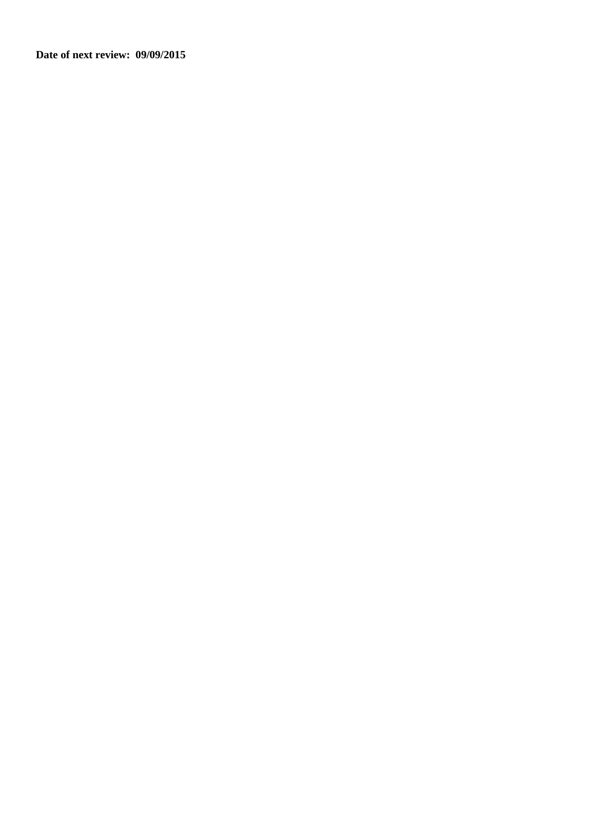**Date of next review: 09/09/2015**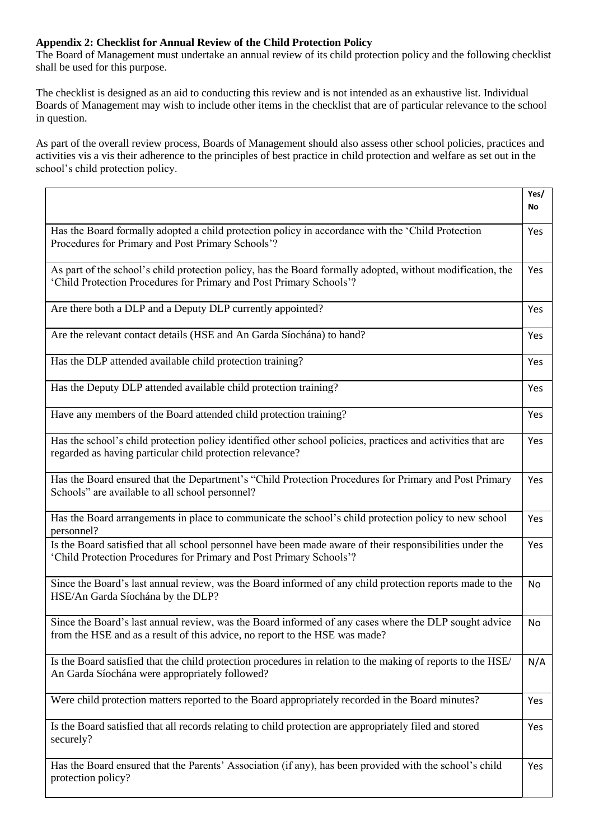## **Appendix 2: Checklist for Annual Review of the Child Protection Policy**

The Board of Management must undertake an annual review of its child protection policy and the following checklist shall be used for this purpose.

The checklist is designed as an aid to conducting this review and is not intended as an exhaustive list. Individual Boards of Management may wish to include other items in the checklist that are of particular relevance to the school in question.

As part of the overall review process, Boards of Management should also assess other school policies, practices and activities vis a vis their adherence to the principles of best practice in child protection and welfare as set out in the school's child protection policy.

|                                                                                                                                                                                      | Yes/<br>No |
|--------------------------------------------------------------------------------------------------------------------------------------------------------------------------------------|------------|
| Has the Board formally adopted a child protection policy in accordance with the 'Child Protection<br>Procedures for Primary and Post Primary Schools'?                               | Yes        |
| As part of the school's child protection policy, has the Board formally adopted, without modification, the<br>'Child Protection Procedures for Primary and Post Primary Schools'?    | Yes        |
| Are there both a DLP and a Deputy DLP currently appointed?                                                                                                                           | Yes        |
| Are the relevant contact details (HSE and An Garda Síochána) to hand?                                                                                                                | Yes        |
| Has the DLP attended available child protection training?                                                                                                                            | Yes        |
| Has the Deputy DLP attended available child protection training?                                                                                                                     | Yes        |
| Have any members of the Board attended child protection training?                                                                                                                    | Yes        |
| Has the school's child protection policy identified other school policies, practices and activities that are<br>regarded as having particular child protection relevance?            | Yes        |
| Has the Board ensured that the Department's "Child Protection Procedures for Primary and Post Primary<br>Schools" are available to all school personnel?                             | Yes        |
| Has the Board arrangements in place to communicate the school's child protection policy to new school<br>personnel?                                                                  | Yes        |
| Is the Board satisfied that all school personnel have been made aware of their responsibilities under the<br>'Child Protection Procedures for Primary and Post Primary Schools'?     | Yes        |
| Since the Board's last annual review, was the Board informed of any child protection reports made to the<br>HSE/An Garda Síochána by the DLP?                                        | No         |
| Since the Board's last annual review, was the Board informed of any cases where the DLP sought advice<br>from the HSE and as a result of this advice, no report to the HSE was made? | <b>No</b>  |
| Is the Board satisfied that the child protection procedures in relation to the making of reports to the HSE/<br>An Garda Síochána were appropriately followed?                       | N/A        |
| Were child protection matters reported to the Board appropriately recorded in the Board minutes?                                                                                     | Yes        |
| Is the Board satisfied that all records relating to child protection are appropriately filed and stored<br>securely?                                                                 | Yes        |
| Has the Board ensured that the Parents' Association (if any), has been provided with the school's child<br>protection policy?                                                        | Yes        |